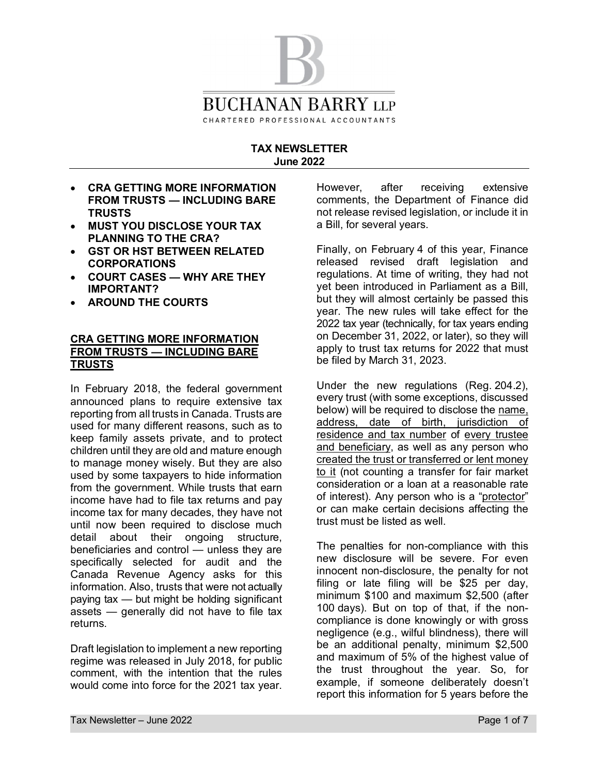

#### **TAX NEWSLETTER June 2022**

- **CRA GETTING MORE INFORMATION FROM TRUSTS — INCLUDING BARE TRUSTS**
- · **MUST YOU DISCLOSE YOUR TAX PLANNING TO THE CRA?**
- · **GST OR HST BETWEEN RELATED CORPORATIONS**
- · **COURT CASES WHY ARE THEY IMPORTANT?**
- · **AROUND THE COURTS**

### **CRA GETTING MORE INFORMATION FROM TRUSTS — INCLUDING BARE TRUSTS**

In February 2018, the federal government announced plans to require extensive tax reporting from all trusts in Canada. Trusts are used for many different reasons, such as to keep family assets private, and to protect children until they are old and mature enough to manage money wisely. But they are also used by some taxpayers to hide information from the government. While trusts that earn income have had to file tax returns and pay income tax for many decades, they have not until now been required to disclose much detail about their ongoing structure, beneficiaries and control — unless they are specifically selected for audit and the Canada Revenue Agency asks for this information. Also, trusts that were not actually paying tax — but might be holding significant assets — generally did not have to file tax returns.

Draft legislation to implement a new reporting regime was released in July 2018, for public comment, with the intention that the rules would come into force for the 2021 tax year.

However, after receiving extensive comments, the Department of Finance did not release revised legislation, or include it in a Bill, for several years.

Finally, on February 4 of this year, Finance released revised draft legislation and regulations. At time of writing, they had not yet been introduced in Parliament as a Bill, but they will almost certainly be passed this year. The new rules will take effect for the 2022 tax year (technically, for tax years ending on December 31, 2022, or later), so they will apply to trust tax returns for 2022 that must be filed by March 31, 2023.

Under the new regulations (Reg. 204.2), every trust (with some exceptions, discussed below) will be required to disclose the name, address, date of birth, jurisdiction of residence and tax number of every trustee and beneficiary, as well as any person who created the trust or transferred or lent money to it (not counting a transfer for fair market consideration or a loan at a reasonable rate of interest). Any person who is a "protector" or can make certain decisions affecting the trust must be listed as well.

The penalties for non-compliance with this new disclosure will be severe. For even innocent non-disclosure, the penalty for not filing or late filing will be \$25 per day, minimum \$100 and maximum \$2,500 (after 100 days). But on top of that, if the noncompliance is done knowingly or with gross negligence (e.g., wilful blindness), there will be an additional penalty, minimum \$2,500 and maximum of 5% of the highest value of the trust throughout the year. So, for example, if someone deliberately doesn't report this information for 5 years before the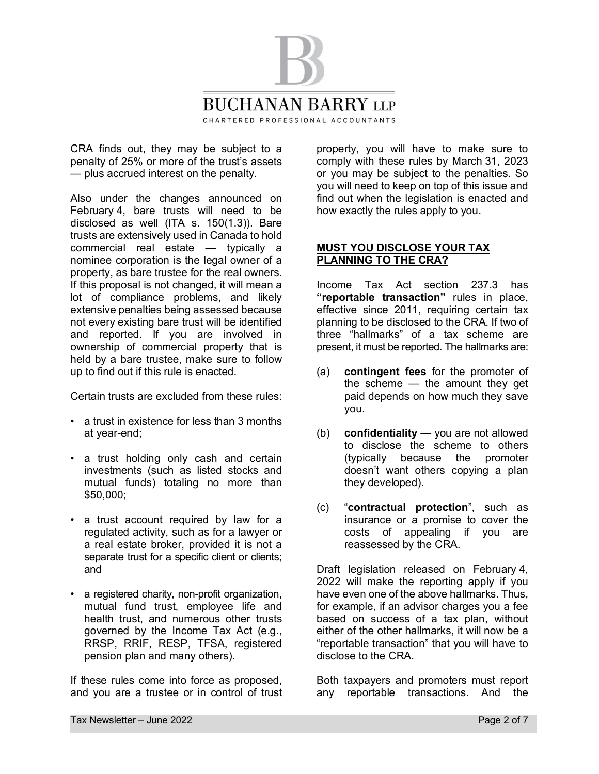

CRA finds out, they may be subject to a penalty of 25% or more of the trust's assets — plus accrued interest on the penalty.

Also under the changes announced on February 4, bare trusts will need to be disclosed as well (ITA s. 150(1.3)). Bare trusts are extensively used in Canada to hold commercial real estate — typically a nominee corporation is the legal owner of a property, as bare trustee for the real owners. If this proposal is not changed, it will mean a lot of compliance problems, and likely extensive penalties being assessed because not every existing bare trust will be identified and reported. If you are involved in ownership of commercial property that is held by a bare trustee, make sure to follow up to find out if this rule is enacted.

Certain trusts are excluded from these rules:

- a trust in existence for less than 3 months at year-end;
- a trust holding only cash and certain investments (such as listed stocks and mutual funds) totaling no more than \$50,000;
- a trust account required by law for a regulated activity, such as for a lawyer or a real estate broker, provided it is not a separate trust for a specific client or clients: and
- a registered charity, non-profit organization, mutual fund trust, employee life and health trust, and numerous other trusts governed by the Income Tax Act (e.g., RRSP, RRIF, RESP, TFSA, registered pension plan and many others).

If these rules come into force as proposed, and you are a trustee or in control of trust property, you will have to make sure to comply with these rules by March 31, 2023 or you may be subject to the penalties. So you will need to keep on top of this issue and find out when the legislation is enacted and how exactly the rules apply to you.

### **MUST YOU DISCLOSE YOUR TAX PLANNING TO THE CRA?**

Income Tax Act section 237.3 has **"reportable transaction"** rules in place, effective since 2011, requiring certain tax planning to be disclosed to the CRA. If two of three "hallmarks" of a tax scheme are present, it must be reported. The hallmarks are:

- (a) **contingent fees** for the promoter of the scheme — the amount they get paid depends on how much they save you.
- (b) **confidentiality** you are not allowed to disclose the scheme to others (typically because the promoter doesn't want others copying a plan they developed).
- (c) "**contractual protection**", such as insurance or a promise to cover the costs of appealing if you are reassessed by the CRA.

Draft legislation released on February 4, 2022 will make the reporting apply if you have even one of the above hallmarks. Thus, for example, if an advisor charges you a fee based on success of a tax plan, without either of the other hallmarks, it will now be a "reportable transaction" that you will have to disclose to the CRA.

Both taxpayers and promoters must report any reportable transactions. And the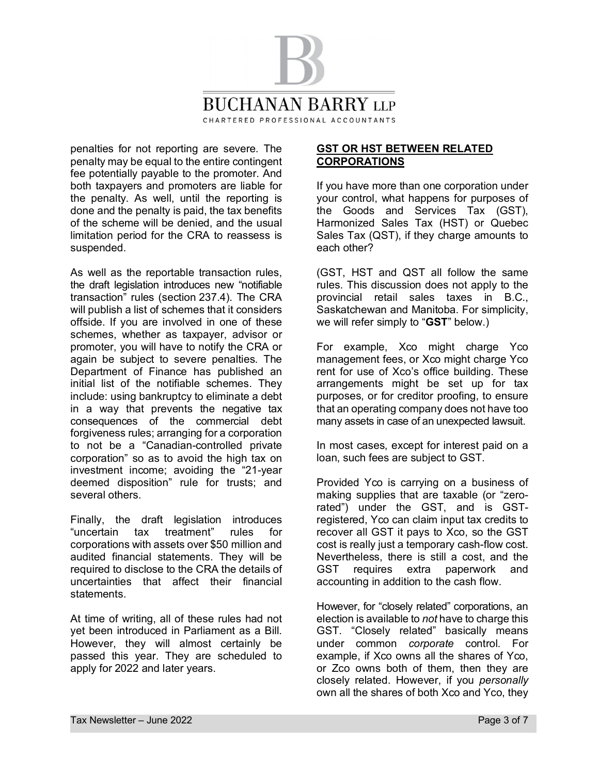

penalties for not reporting are severe. The penalty may be equal to the entire contingent fee potentially payable to the promoter. And both taxpayers and promoters are liable for the penalty. As well, until the reporting is done and the penalty is paid, the tax benefits of the scheme will be denied, and the usual limitation period for the CRA to reassess is suspended.

As well as the reportable transaction rules, the draft legislation introduces new "notifiable transaction" rules (section 237.4). The CRA will publish a list of schemes that it considers offside. If you are involved in one of these schemes, whether as taxpayer, advisor or promoter, you will have to notify the CRA or again be subject to severe penalties. The Department of Finance has published an initial list of the notifiable schemes. They include: using bankruptcy to eliminate a debt in a way that prevents the negative tax consequences of the commercial debt forgiveness rules; arranging for a corporation to not be a "Canadian-controlled private corporation" so as to avoid the high tax on investment income; avoiding the "21-year deemed disposition" rule for trusts; and several others.

Finally, the draft legislation introduces "uncertain tax treatment" rules for corporations with assets over \$50 million and audited financial statements. They will be required to disclose to the CRA the details of uncertainties that affect their financial statements.

At time of writing, all of these rules had not yet been introduced in Parliament as a Bill. However, they will almost certainly be passed this year. They are scheduled to apply for 2022 and later years.

## **GST OR HST BETWEEN RELATED CORPORATIONS**

If you have more than one corporation under your control, what happens for purposes of the Goods and Services Tax (GST), Harmonized Sales Tax (HST) or Quebec Sales Tax (QST), if they charge amounts to each other?

(GST, HST and QST all follow the same rules. This discussion does not apply to the provincial retail sales taxes in B.C., Saskatchewan and Manitoba. For simplicity, we will refer simply to "**GST**" below.)

For example, Xco might charge Yco management fees, or Xco might charge Yco rent for use of Xco's office building. These arrangements might be set up for tax purposes, or for creditor proofing, to ensure that an operating company does not have too many assets in case of an unexpected lawsuit.

In most cases, except for interest paid on a loan, such fees are subject to GST.

Provided Yco is carrying on a business of making supplies that are taxable (or "zerorated") under the GST, and is GSTregistered, Yco can claim input tax credits to recover all GST it pays to Xco, so the GST cost is really just a temporary cash-flow cost. Nevertheless, there is still a cost, and the GST requires extra paperwork and accounting in addition to the cash flow.

However, for "closely related" corporations, an election is available to *not* have to charge this GST. "Closely related" basically means under common *corporate* control. For example, if Xco owns all the shares of Yco, or Zco owns both of them, then they are closely related. However, if you *personally* own all the shares of both Xco and Yco, they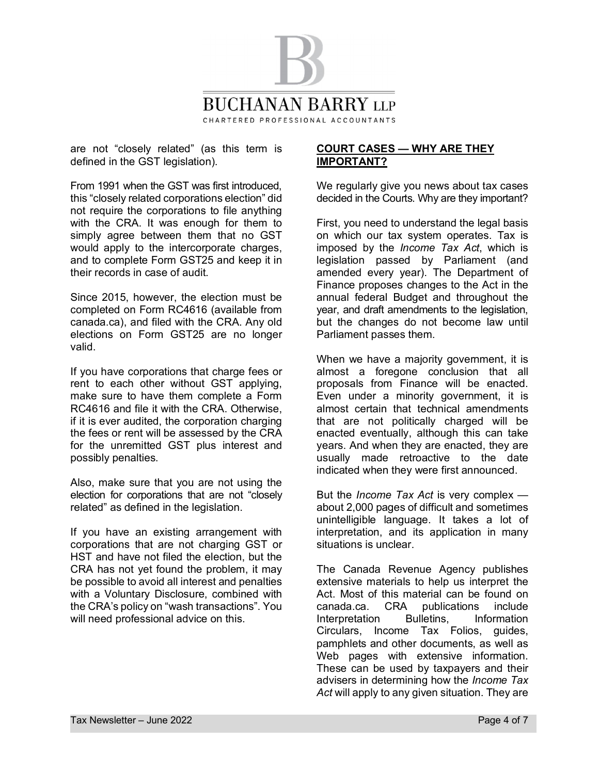

are not "closely related" (as this term is defined in the GST legislation).

From 1991 when the GST was first introduced, this "closely related corporations election" did not require the corporations to file anything with the CRA. It was enough for them to simply agree between them that no GST would apply to the intercorporate charges, and to complete Form GST25 and keep it in their records in case of audit.

Since 2015, however, the election must be completed on Form RC4616 (available from canada.ca), and filed with the CRA. Any old elections on Form GST25 are no longer valid.

If you have corporations that charge fees or rent to each other without GST applying, make sure to have them complete a Form RC4616 and file it with the CRA. Otherwise, if it is ever audited, the corporation charging the fees or rent will be assessed by the CRA for the unremitted GST plus interest and possibly penalties.

Also, make sure that you are not using the election for corporations that are not "closely related" as defined in the legislation.

If you have an existing arrangement with corporations that are not charging GST or HST and have not filed the election, but the CRA has not yet found the problem, it may be possible to avoid all interest and penalties with a Voluntary Disclosure, combined with the CRA's policy on "wash transactions". You will need professional advice on this.

### **COURT CASES — WHY ARE THEY IMPORTANT?**

We regularly give you news about tax cases decided in the Courts. Why are they important?

First, you need to understand the legal basis on which our tax system operates. Tax is imposed by the *Income Tax Act*, which is legislation passed by Parliament (and amended every year). The Department of Finance proposes changes to the Act in the annual federal Budget and throughout the year, and draft amendments to the legislation, but the changes do not become law until Parliament passes them.

When we have a majority government, it is almost a foregone conclusion that all proposals from Finance will be enacted. Even under a minority government, it is almost certain that technical amendments that are not politically charged will be enacted eventually, although this can take years. And when they are enacted, they are usually made retroactive to the date indicated when they were first announced.

But the *Income Tax Act* is very complex about 2,000 pages of difficult and sometimes unintelligible language. It takes a lot of interpretation, and its application in many situations is unclear.

The Canada Revenue Agency publishes extensive materials to help us interpret the Act. Most of this material can be found on canada.ca. CRA publications include Interpretation Bulletins, Information Circulars, Income Tax Folios, guides, pamphlets and other documents, as well as Web pages with extensive information. These can be used by taxpayers and their advisers in determining how the *Income Tax Act* will apply to any given situation. They are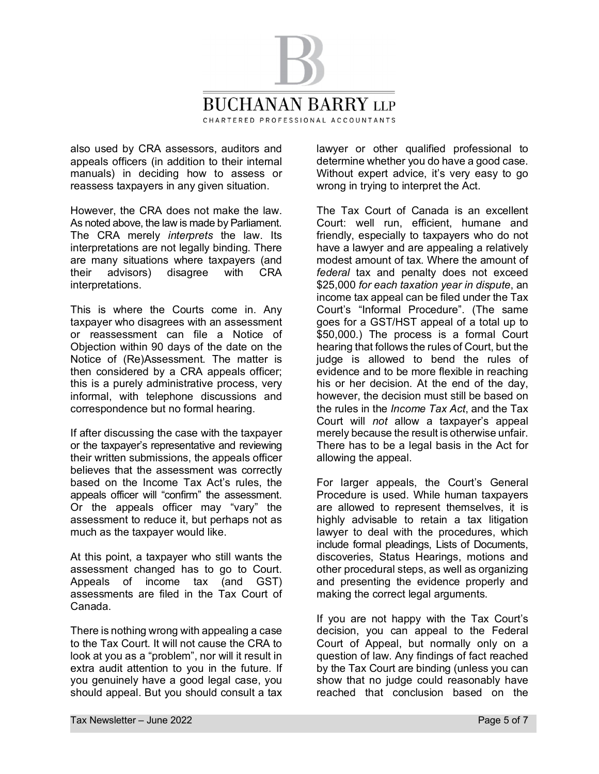

also used by CRA assessors, auditors and appeals officers (in addition to their internal manuals) in deciding how to assess or reassess taxpayers in any given situation.

However, the CRA does not make the law. As noted above, the law is made by Parliament. The CRA merely *interprets* the law. Its interpretations are not legally binding. There are many situations where taxpayers (and their advisors) disagree with CRA interpretations.

This is where the Courts come in. Any taxpayer who disagrees with an assessment or reassessment can file a Notice of Objection within 90 days of the date on the Notice of (Re)Assessment. The matter is then considered by a CRA appeals officer; this is a purely administrative process, very informal, with telephone discussions and correspondence but no formal hearing.

If after discussing the case with the taxpayer or the taxpayer's representative and reviewing their written submissions, the appeals officer believes that the assessment was correctly based on the Income Tax Act's rules, the appeals officer will "confirm" the assessment. Or the appeals officer may "vary" the assessment to reduce it, but perhaps not as much as the taxpayer would like.

At this point, a taxpayer who still wants the assessment changed has to go to Court. Appeals of income tax (and GST) assessments are filed in the Tax Court of Canada.

There is nothing wrong with appealing a case to the Tax Court. It will not cause the CRA to look at you as a "problem", nor will it result in extra audit attention to you in the future. If you genuinely have a good legal case, you should appeal. But you should consult a tax

lawyer or other qualified professional to determine whether you do have a good case. Without expert advice, it's very easy to go wrong in trying to interpret the Act.

The Tax Court of Canada is an excellent Court: well run, efficient, humane and friendly, especially to taxpayers who do not have a lawyer and are appealing a relatively modest amount of tax. Where the amount of *federal* tax and penalty does not exceed \$25,000 *for each taxation year in dispute*, an income tax appeal can be filed under the Tax Court's "Informal Procedure". (The same goes for a GST/HST appeal of a total up to \$50,000.) The process is a formal Court hearing that follows the rules of Court, but the judge is allowed to bend the rules of evidence and to be more flexible in reaching his or her decision. At the end of the day, however, the decision must still be based on the rules in the *Income Tax Act*, and the Tax Court will *not* allow a taxpayer's appeal merely because the result is otherwise unfair. There has to be a legal basis in the Act for allowing the appeal.

For larger appeals, the Court's General Procedure is used. While human taxpayers are allowed to represent themselves, it is highly advisable to retain a tax litigation lawyer to deal with the procedures, which include formal pleadings, Lists of Documents, discoveries, Status Hearings, motions and other procedural steps, as well as organizing and presenting the evidence properly and making the correct legal arguments.

If you are not happy with the Tax Court's decision, you can appeal to the Federal Court of Appeal, but normally only on a question of law. Any findings of fact reached by the Tax Court are binding (unless you can show that no judge could reasonably have reached that conclusion based on the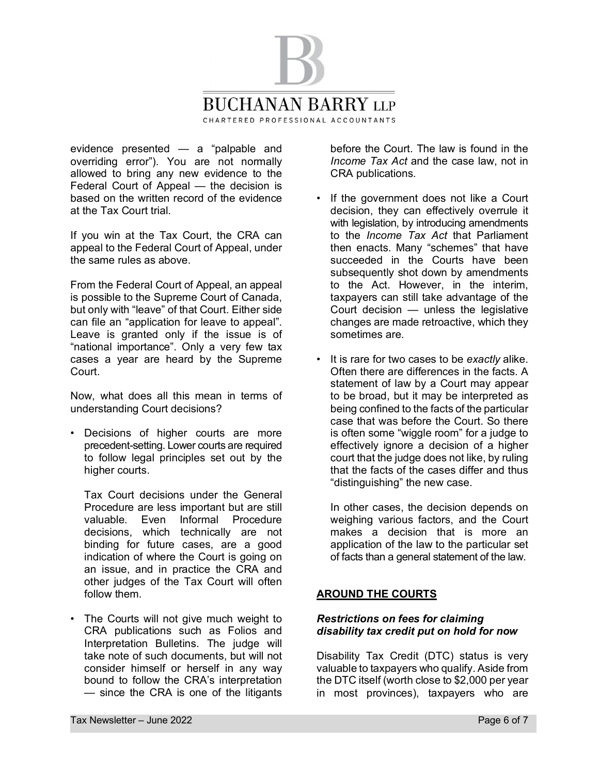

evidence presented — a "palpable and overriding error"). You are not normally allowed to bring any new evidence to the Federal Court of Appeal — the decision is based on the written record of the evidence at the Tax Court trial.

If you win at the Tax Court, the CRA can appeal to the Federal Court of Appeal, under the same rules as above.

From the Federal Court of Appeal, an appeal is possible to the Supreme Court of Canada, but only with "leave" of that Court. Either side can file an "application for leave to appeal". Leave is granted only if the issue is of "national importance". Only a very few tax cases a year are heard by the Supreme Court.

Now, what does all this mean in terms of understanding Court decisions?

• Decisions of higher courts are more precedent-setting. Lower courts are required to follow legal principles set out by the higher courts.

 Tax Court decisions under the General Procedure are less important but are still valuable. Even Informal Procedure decisions, which technically are not binding for future cases, are a good indication of where the Court is going on an issue, and in practice the CRA and other judges of the Tax Court will often follow them.

• The Courts will not give much weight to CRA publications such as Folios and Interpretation Bulletins. The judge will take note of such documents, but will not consider himself or herself in any way bound to follow the CRA's interpretation — since the CRA is one of the litigants

before the Court. The law is found in the *Income Tax Act* and the case law, not in CRA publications.

- If the government does not like a Court decision, they can effectively overrule it with legislation, by introducing amendments to the *Income Tax Act* that Parliament then enacts. Many "schemes" that have succeeded in the Courts have been subsequently shot down by amendments to the Act. However, in the interim, taxpayers can still take advantage of the Court decision — unless the legislative changes are made retroactive, which they sometimes are.
- It is rare for two cases to be *exactly* alike. Often there are differences in the facts. A statement of law by a Court may appear to be broad, but it may be interpreted as being confined to the facts of the particular case that was before the Court. So there is often some "wiggle room" for a judge to effectively ignore a decision of a higher court that the judge does not like, by ruling that the facts of the cases differ and thus "distinguishing" the new case.

 In other cases, the decision depends on weighing various factors, and the Court makes a decision that is more an application of the law to the particular set of facts than a general statement of the law.

# **AROUND THE COURTS**

### *Restrictions on fees for claiming disability tax credit put on hold for now*

Disability Tax Credit (DTC) status is very valuable to taxpayers who qualify. Aside from the DTC itself (worth close to \$2,000 per year in most provinces), taxpayers who are